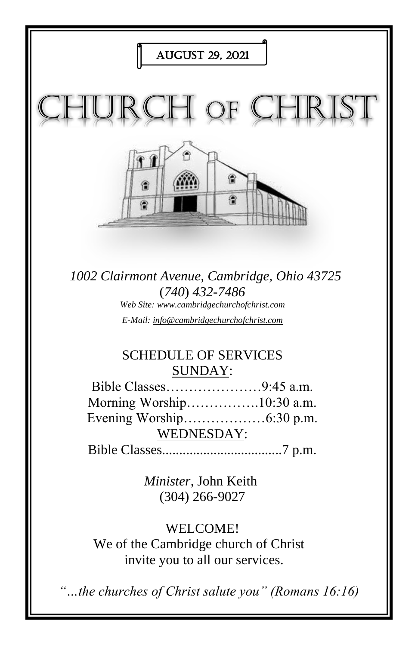

We of the Cambridge church of Christ invite you to all our services.

*"…the churches of Christ salute you" (Romans 16:16)*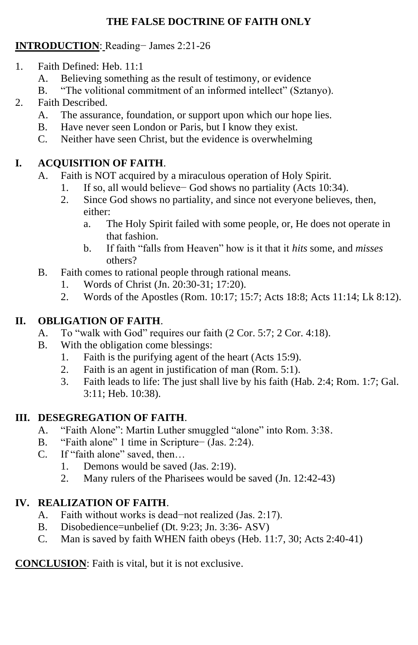#### **THE FALSE DOCTRINE OF FAITH ONLY**

### **INTRODUCTION**: Reading− James 2:21-26

- 1. Faith Defined: Heb. 11:1
	- A. Believing something as the result of testimony, or evidence
	- B. "The volitional commitment of an informed intellect" (Sztanyo).
- 2. Faith Described.
	- A. The assurance, foundation, or support upon which our hope lies.
	- B. Have never seen London or Paris, but I know they exist.
	- C. Neither have seen Christ, but the evidence is overwhelming

## **I. ACQUISITION OF FAITH**.

- A. Faith is NOT acquired by a miraculous operation of Holy Spirit.
	- 1. If so, all would believe− God shows no partiality (Acts 10:34).
	- 2. Since God shows no partiality, and since not everyone believes, then, either:
		- a. The Holy Spirit failed with some people, or, He does not operate in that fashion.
		- b. If faith "falls from Heaven" how is it that it *hits* some, and *misses* others?
- B. Faith comes to rational people through rational means.
	- 1. Words of Christ (Jn. 20:30-31; 17:20).
	- 2. Words of the Apostles (Rom. 10:17; 15:7; Acts 18:8; Acts 11:14; Lk 8:12).

# **II. OBLIGATION OF FAITH**.

- A. To "walk with God" requires our faith (2 Cor. 5:7; 2 Cor. 4:18).
- B. With the obligation come blessings:
	- 1. Faith is the purifying agent of the heart (Acts 15:9).
	- 2. Faith is an agent in justification of man (Rom. 5:1).
	- 3. Faith leads to life: The just shall live by his faith (Hab. 2:4; Rom. 1:7; Gal. 3:11; Heb. 10:38).

## **III. DESEGREGATION OF FAITH**.

- A. "Faith Alone": Martin Luther smuggled "alone" into Rom. 3:38.
- B. "Faith alone" 1 time in Scripture− (Jas. 2:24).
- C. If "faith alone" saved, then…
	- 1. Demons would be saved (Jas. 2:19).
	- 2. Many rulers of the Pharisees would be saved (Jn. 12:42-43)

# **IV. REALIZATION OF FAITH**.

- A. Faith without works is dead−not realized (Jas. 2:17).
- B. Disobedience=unbelief (Dt. 9:23; Jn. 3:36- ASV)
- C. Man is saved by faith WHEN faith obeys (Heb. 11:7, 30; Acts 2:40-41)

**CONCLUSION**: Faith is vital, but it is not exclusive.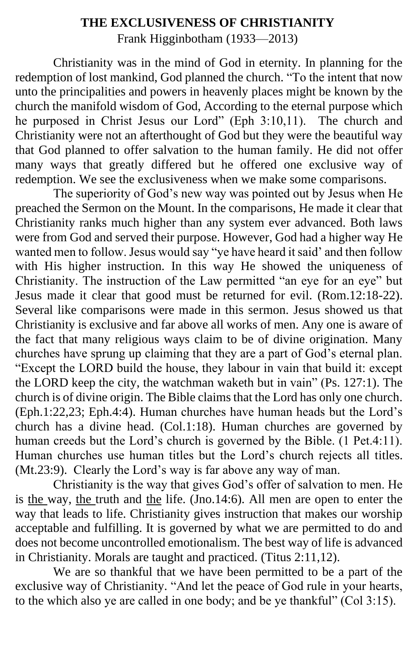### **THE EXCLUSIVENESS OF CHRISTIANITY** Frank Higginbotham (1933—2013)

Christianity was in the mind of God in eternity. In planning for the redemption of lost mankind, God planned the church. "To the intent that now unto the principalities and powers in heavenly places might be known by the church the manifold wisdom of God, According to the eternal purpose which he purposed in Christ Jesus our Lord" (Eph 3:10,11). The church and Christianity were not an afterthought of God but they were the beautiful way that God planned to offer salvation to the human family. He did not offer many ways that greatly differed but he offered one exclusive way of redemption. We see the exclusiveness when we make some comparisons.

The superiority of God's new way was pointed out by Jesus when He preached the Sermon on the Mount. In the comparisons, He made it clear that Christianity ranks much higher than any system ever advanced. Both laws were from God and served their purpose. However, God had a higher way He wanted men to follow. Jesus would say "ye have heard it said' and then follow with His higher instruction. In this way He showed the uniqueness of Christianity. The instruction of the Law permitted "an eye for an eye" but Jesus made it clear that good must be returned for evil. (Rom.12:18-22). Several like comparisons were made in this sermon. Jesus showed us that Christianity is exclusive and far above all works of men. Any one is aware of the fact that many religious ways claim to be of divine origination. Many churches have sprung up claiming that they are a part of God's eternal plan. "Except the LORD build the house, they labour in vain that build it: except the LORD keep the city, the watchman waketh but in vain" (Ps. 127:1). The church is of divine origin. The Bible claims that the Lord has only one church. (Eph.1:22,23; Eph.4:4). Human churches have human heads but the Lord's church has a divine head. (Col.1:18). Human churches are governed by human creeds but the Lord's church is governed by the Bible. (1 Pet.4:11). Human churches use human titles but the Lord's church rejects all titles. (Mt.23:9). Clearly the Lord's way is far above any way of man.

Christianity is the way that gives God's offer of salvation to men. He is the way, the truth and the life. (Jno.14:6). All men are open to enter the way that leads to life. Christianity gives instruction that makes our worship acceptable and fulfilling. It is governed by what we are permitted to do and does not become uncontrolled emotionalism. The best way of life is advanced in Christianity. Morals are taught and practiced. (Titus 2:11,12).

We are so thankful that we have been permitted to be a part of the exclusive way of Christianity. "And let the peace of God rule in your hearts, to the which also ye are called in one body; and be ye thankful" (Col 3:15).